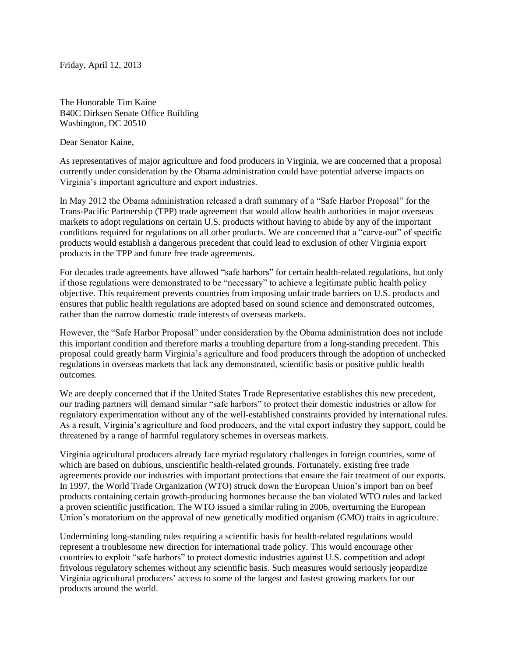Friday, April 12, 2013

The Honorable Tim Kaine B40C Dirksen Senate Office Building Washington, DC 20510

Dear Senator Kaine,

As representatives of major agriculture and food producers in Virginia, we are concerned that a proposal currently under consideration by the Obama administration could have potential adverse impacts on Virginia's important agriculture and export industries.

In May 2012 the Obama administration released a draft summary of a "Safe Harbor Proposal" for the Trans-Pacific Partnership (TPP) trade agreement that would allow health authorities in major overseas markets to adopt regulations on certain U.S. products without having to abide by any of the important conditions required for regulations on all other products. We are concerned that a "carve-out" of specific products would establish a dangerous precedent that could lead to exclusion of other Virginia export products in the TPP and future free trade agreements.

For decades trade agreements have allowed "safe harbors" for certain health-related regulations, but only if those regulations were demonstrated to be "necessary" to achieve a legitimate public health policy objective. This requirement prevents countries from imposing unfair trade barriers on U.S. products and ensures that public health regulations are adopted based on sound science and demonstrated outcomes, rather than the narrow domestic trade interests of overseas markets.

However, the "Safe Harbor Proposal" under consideration by the Obama administration does not include this important condition and therefore marks a troubling departure from a long-standing precedent. This proposal could greatly harm Virginia's agriculture and food producers through the adoption of unchecked regulations in overseas markets that lack any demonstrated, scientific basis or positive public health outcomes.

We are deeply concerned that if the United States Trade Representative establishes this new precedent, our trading partners will demand similar "safe harbors" to protect their domestic industries or allow for regulatory experimentation without any of the well-established constraints provided by international rules. As a result, Virginia's agriculture and food producers, and the vital export industry they support, could be threatened by a range of harmful regulatory schemes in overseas markets.

Virginia agricultural producers already face myriad regulatory challenges in foreign countries, some of which are based on dubious, unscientific health-related grounds. Fortunately, existing free trade agreements provide our industries with important protections that ensure the fair treatment of our exports. In 1997, the World Trade Organization (WTO) struck down the European Union's import ban on beef products containing certain growth-producing hormones because the ban violated WTO rules and lacked a proven scientific justification. The WTO issued a similar ruling in 2006, overturning the European Union's moratorium on the approval of new genetically modified organism (GMO) traits in agriculture.

Undermining long-standing rules requiring a scientific basis for health-related regulations would represent a troublesome new direction for international trade policy. This would encourage other countries to exploit "safe harbors" to protect domestic industries against U.S. competition and adopt frivolous regulatory schemes without any scientific basis. Such measures would seriously jeopardize Virginia agricultural producers' access to some of the largest and fastest growing markets for our products around the world.